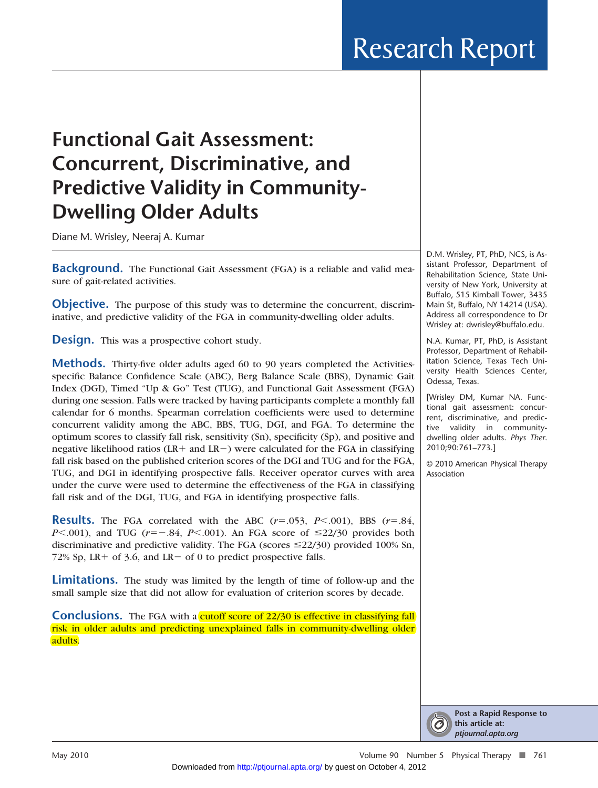## Research Report

### **Functional Gait Assessment: Concurrent, Discriminative, and Predictive Validity in Community-Dwelling Older Adults**

Diane M. Wrisley, Neeraj A. Kumar

**Background.** The Functional Gait Assessment (FGA) is a reliable and valid measure of gait-related activities.

**Objective.** The purpose of this study was to determine the concurrent, discriminative, and predictive validity of the FGA in community-dwelling older adults.

**Design.** This was a prospective cohort study.

**Methods.** Thirty-five older adults aged 60 to 90 years completed the Activitiesspecific Balance Confidence Scale (ABC), Berg Balance Scale (BBS), Dynamic Gait Index (DGI), Timed "Up & Go" Test (TUG), and Functional Gait Assessment (FGA) during one session. Falls were tracked by having participants complete a monthly fall calendar for 6 months. Spearman correlation coefficients were used to determine concurrent validity among the ABC, BBS, TUG, DGI, and FGA. To determine the optimum scores to classify fall risk, sensitivity (Sn), specificity (Sp), and positive and negative likelihood ratios  $(LR + and LR -)$  were calculated for the FGA in classifying fall risk based on the published criterion scores of the DGI and TUG and for the FGA, TUG, and DGI in identifying prospective falls. Receiver operator curves with area under the curve were used to determine the effectiveness of the FGA in classifying fall risk and of the DGI, TUG, and FGA in identifying prospective falls.

**Results.** The FGA correlated with the ABC  $(r=.053, P<.001)$ , BBS  $(r=.84,$ *P*<.001), and TUG ( $r = -0.84$ , *P*<.001). An FGA score of  $\leq$ 22/30 provides both discriminative and predictive validity. The FGA (scores  $\leq$ 22/30) provided 100% Sn, 72% Sp, LR+ of 3.6, and LR- of 0 to predict prospective falls.

**Limitations.** The study was limited by the length of time of follow-up and the small sample size that did not allow for evaluation of criterion scores by decade.

**Conclusions.** The FGA with a cutoff score of 22/30 is effective in classifying fall risk in older adults and predicting unexplained falls in community-dwelling older adults.

D.M. Wrisley, PT, PhD, NCS, is Assistant Professor, Department of Rehabilitation Science, State University of New York, University at Buffalo, 515 Kimball Tower, 3435 Main St, Buffalo, NY 14214 (USA). Address all correspondence to Dr Wrisley at: dwrisley@buffalo.edu.

N.A. Kumar, PT, PhD, is Assistant Professor, Department of Rehabilitation Science, Texas Tech University Health Sciences Center, Odessa, Texas.

[Wrisley DM, Kumar NA. Functional gait assessment: concurrent, discriminative, and predictive validity in communitydwelling older adults. *Phys Ther*. 2010;90:761–773.]

© 2010 American Physical Therapy Association



**Post a Rapid Response to this article at:** *ptjournal.apta.org*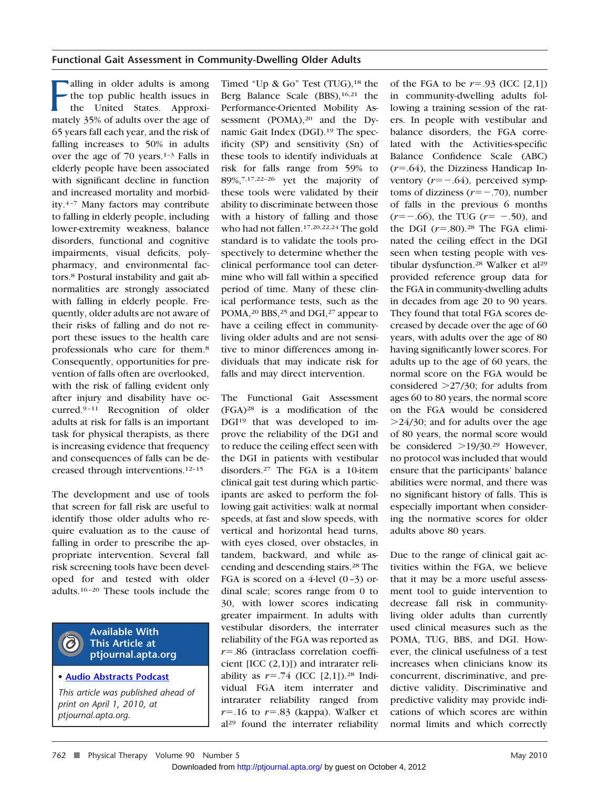Ferming in older adults is among<br>the top public health issues in<br>the United States. Approxi-<br>mately 35% of adults over the age of alling in older adults is among the top public health issues in the United States. Approxi-65 years fall each year, and the risk of falling increases to 50% in adults over the age of 70 years.1–3 Falls in elderly people have been associated with significant decline in function and increased mortality and morbidity.4 –7 Many factors may contribute to falling in elderly people, including lower-extremity weakness, balance disorders, functional and cognitive impairments, visual deficits, polypharmacy, and environmental factors.8 Postural instability and gait abnormalities are strongly associated with falling in elderly people. Frequently, older adults are not aware of their risks of falling and do not report these issues to the health care professionals who care for them.8 Consequently, opportunities for prevention of falls often are overlooked, with the risk of falling evident only after injury and disability have occurred.9 –11 Recognition of older adults at risk for falls is an important task for physical therapists, as there is increasing evidence that frequency and consequences of falls can be decreased through interventions.12–15

The development and use of tools that screen for fall risk are useful to identify those older adults who require evaluation as to the cause of falling in order to prescribe the appropriate intervention. Several fall risk screening tools have been developed for and tested with older adults.16 –20 These tools include the



**Available With This Article at ptjournal.apta.org**

#### **• [Audio Abstracts Podcast](http://ptjournal.apta.org/cgi/content/full/90/5/DC1)**

*This article was published ahead of print on April 1, 2010, at ptjournal.apta.org.*

Timed "Up & Go" Test (TUG),<sup>18</sup> the Berg Balance Scale (BBS), 16,21 the Performance-Oriented Mobility Assessment (POMA),<sup>20</sup> and the Dynamic Gait Index (DGI).19 The specificity (SP) and sensitivity (Sn) of these tools to identify individuals at risk for falls range from 59% to 89%,7,17,22–26 yet the majority of these tools were validated by their ability to discriminate between those with a history of falling and those who had not fallen.<sup>17,20,22,24</sup> The gold standard is to validate the tools prospectively to determine whether the clinical performance tool can determine who will fall within a specified period of time. Many of these clinical performance tests, such as the POMA,<sup>20</sup> BBS,<sup>25</sup> and DGI,<sup>27</sup> appear to have a ceiling effect in communityliving older adults and are not sensitive to minor differences among individuals that may indicate risk for falls and may direct intervention.

The Functional Gait Assessment (FGA)28 is a modification of the DGI<sup>19</sup> that was developed to improve the reliability of the DGI and to reduce the ceiling effect seen with the DGI in patients with vestibular disorders.27 The FGA is a 10-item clinical gait test during which participants are asked to perform the following gait activities: walk at normal speeds, at fast and slow speeds, with vertical and horizontal head turns, with eyes closed, over obstacles, in tandem, backward, and while ascending and descending stairs.28 The FGA is scored on a 4-level  $(0-3)$  ordinal scale; scores range from 0 to 30, with lower scores indicating greater impairment. In adults with vestibular disorders, the interrater reliability of the FGA was reported as  $r = .86$  (intraclass correlation coefficient [ICC (2,1)]) and intrarater reliability as  $r = .74$  (ICC [2,1]).<sup>28</sup> Individual FGA item interrater and intrarater reliability ranged from  $r = 0.16$  to  $r = 0.83$  (kappa). Walker et al29 found the interrater reliability

of the FGA to be  $r = .93$  (ICC [2,1]) in community-dwelling adults following a training session of the raters. In people with vestibular and balance disorders, the FGA correlated with the Activities-specific Balance Confidence Scale (ABC)  $(r=0.64)$ , the Dizziness Handicap Inventory  $(r=-.64)$ , perceived symptoms of dizziness  $(r=-.70)$ , number of falls in the previous 6 months  $(r=-.66)$ , the TUG  $(r=-.50)$ , and the DGI  $(r=.80)$ .<sup>28</sup> The FGA eliminated the ceiling effect in the DGI seen when testing people with vestibular dysfunction.<sup>28</sup> Walker et al<sup>29</sup> provided reference group data for the FGA in community-dwelling adults in decades from age 20 to 90 years. They found that total FGA scores decreased by decade over the age of 60 years, with adults over the age of 80 having significantly lower scores. For adults up to the age of 60 years, the normal score on the FGA would be considered  $\geq$ 27/30; for adults from ages 60 to 80 years, the normal score on the FGA would be considered  $>24/30$ ; and for adults over the age of 80 years, the normal score would be considered  $>19/30.^{29}$  However, no protocol was included that would ensure that the participants' balance abilities were normal, and there was no significant history of falls. This is especially important when considering the normative scores for older adults above 80 years.

Due to the range of clinical gait activities within the FGA, we believe that it may be a more useful assessment tool to guide intervention to decrease fall risk in communityliving older adults than currently used clinical measures such as the POMA, TUG, BBS, and DGI. However, the clinical usefulness of a test increases when clinicians know its concurrent, discriminative, and predictive validity. Discriminative and predictive validity may provide indications of which scores are within normal limits and which correctly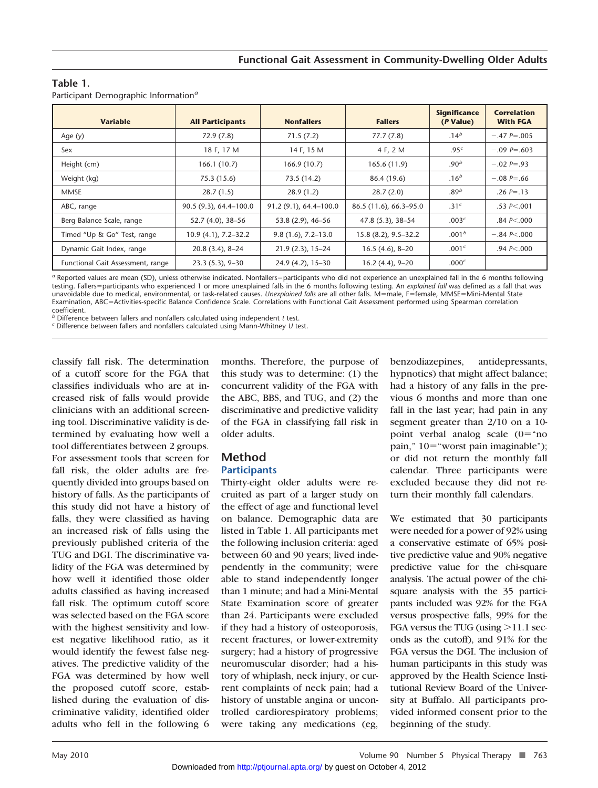| <b>Variable</b>                   | <b>All Participants</b> | <b>Nonfallers</b>       | <b>Fallers</b>         | <b>Significance</b><br>(P Value) | <b>Correlation</b><br><b>With FGA</b> |
|-----------------------------------|-------------------------|-------------------------|------------------------|----------------------------------|---------------------------------------|
| Age $(y)$                         | 72.9(7.8)               | 71.5(7.2)               | 77.7(7.8)              | .14 <sup>b</sup>                 | $-.47 P=.005$                         |
| Sex                               | 18 F, 17 M              | 14 F, 15 M              | 4 F, 2 M               | .95 <sup>c</sup>                 | $-.09 P=.603$                         |
| Height (cm)                       | 166.1(10.7)             | 166.9 (10.7)            | 165.6(11.9)            | .90 <sup>b</sup>                 | $-.02 P=.93$                          |
| Weight (kg)                       | 75.3 (15.6)             | 73.5 (14.2)             | 86.4 (19.6)            | .16 <sup>b</sup>                 | $-.08 P = .66$                        |
| <b>MMSE</b>                       | 28.7(1.5)               | 28.9(1.2)               | 28.7(2.0)              | .89 <sup>b</sup>                 | $.26 P = .13$                         |
| ABC, range                        | 90.5 (9.3), 64.4-100.0  | $91.2(9.1), 64.4-100.0$ | 86.5 (11.6), 66.3–95.0 | .31 <sup>c</sup>                 | .53 P < 001                           |
| Berg Balance Scale, range         | $52.7(4.0)$ , 38-56     | 53.8 (2.9), 46-56       | 47.8 (5.3), 38-54      | .003 <sup>c</sup>                | .84P<.000                             |
| Timed "Up & Go" Test, range       | $10.9(4.1)$ , 7.2-32.2  | $9.8(1.6)$ , 7.2-13.0   | 15.8 (8.2), 9.5-32.2   | .001 <sup>b</sup>                | $-.84 P< .000$                        |
| Dynamic Gait Index, range         | 20.8 (3.4), 8-24        | $21.9(2.3), 15-24$      | $16.5(4.6), 8-20$      | .001 <sup>c</sup>                | .94 P< .000                           |
| Functional Gait Assessment, range | $23.3(5.3), 9-30$       | $24.9(4.2), 15-30$      | $16.2(4.4), 9-20$      | .000 <sup>c</sup>                |                                       |

#### **Table 1.**

Participant Demographic Information*<sup>a</sup>*

a Reported values are mean (SD), unless otherwise indicated. Nonfallers=participants who did not experience an unexplained fall in the 6 months following testing. Fallers=participants who experienced 1 or more unexplained falls in the 6 months following testing. An *explained fall* was defined as a fall that was unavoidable due to medical, environmental, or task-related causes. *Unexplained falls* are all other falls. M=male, F=female, MMSE=Mini-Mental State Examination, ABC=Activities-specific Balance Confidence Scale. Correlations with Functional Gait Assessment performed using Spearman correlation

coefficient.<br> **b** Difference between fallers and nonfallers calculated using independent *t* test.

<sup>*c*</sup> Difference between fallers and nonfallers calculated using Mann-Whitney *U* test.

classify fall risk. The determination of a cutoff score for the FGA that classifies individuals who are at increased risk of falls would provide clinicians with an additional screening tool. Discriminative validity is determined by evaluating how well a tool differentiates between 2 groups. For assessment tools that screen for fall risk, the older adults are frequently divided into groups based on history of falls. As the participants of this study did not have a history of falls, they were classified as having an increased risk of falls using the previously published criteria of the TUG and DGI. The discriminative validity of the FGA was determined by how well it identified those older adults classified as having increased fall risk. The optimum cutoff score was selected based on the FGA score with the highest sensitivity and lowest negative likelihood ratio, as it would identify the fewest false negatives. The predictive validity of the FGA was determined by how well the proposed cutoff score, established during the evaluation of discriminative validity, identified older adults who fell in the following 6

months. Therefore, the purpose of this study was to determine: (1) the concurrent validity of the FGA with the ABC, BBS, and TUG, and (2) the discriminative and predictive validity of the FGA in classifying fall risk in older adults.

#### **Method Participants**

Thirty-eight older adults were recruited as part of a larger study on the effect of age and functional level on balance. Demographic data are listed in Table 1. All participants met the following inclusion criteria: aged between 60 and 90 years; lived independently in the community; were able to stand independently longer than 1 minute; and had a Mini-Mental State Examination score of greater than 24. Participants were excluded if they had a history of osteoporosis, recent fractures, or lower-extremity surgery; had a history of progressive neuromuscular disorder; had a history of whiplash, neck injury, or current complaints of neck pain; had a history of unstable angina or uncontrolled cardiorespiratory problems; were taking any medications (eg,

benzodiazepines, antidepressants, hypnotics) that might affect balance; had a history of any falls in the previous 6 months and more than one fall in the last year; had pain in any segment greater than 2/10 on a 10 point verbal analog scale  $(0 = "no$ pain,"  $10$  = "worst pain imaginable"); or did not return the monthly fall calendar. Three participants were excluded because they did not return their monthly fall calendars.

We estimated that 30 participants were needed for a power of 92% using a conservative estimate of 65% positive predictive value and 90% negative predictive value for the chi-square analysis. The actual power of the chisquare analysis with the 35 participants included was 92% for the FGA versus prospective falls, 99% for the FGA versus the TUG (using  $>11.1$  seconds as the cutoff), and 91% for the FGA versus the DGI. The inclusion of human participants in this study was approved by the Health Science Institutional Review Board of the University at Buffalo. All participants provided informed consent prior to the beginning of the study.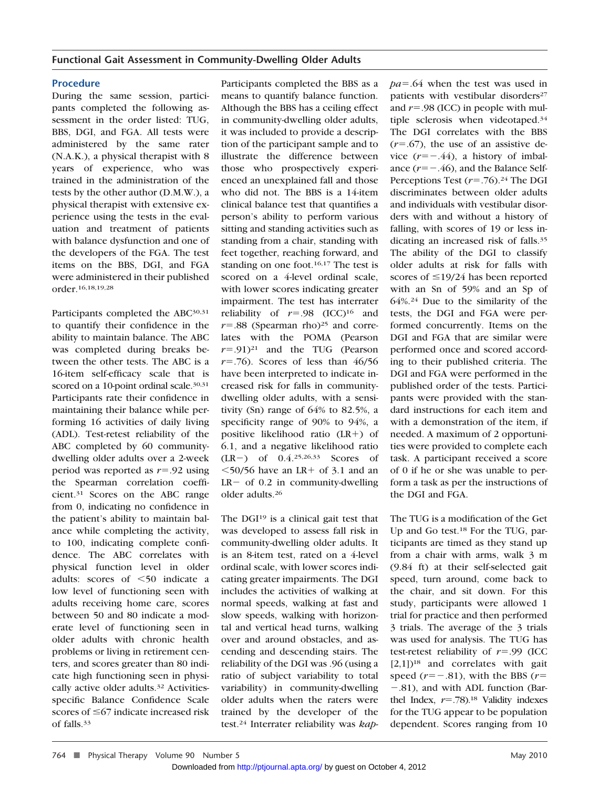#### **Procedure**

During the same session, participants completed the following assessment in the order listed: TUG, BBS, DGI, and FGA. All tests were administered by the same rater (N.A.K.), a physical therapist with 8 years of experience, who was trained in the administration of the tests by the other author (D.M.W.), a physical therapist with extensive experience using the tests in the evaluation and treatment of patients with balance dysfunction and one of the developers of the FGA. The test items on the BBS, DGI, and FGA were administered in their published order.16,18,19,28

Participants completed the ABC<sup>30,31</sup> to quantify their confidence in the ability to maintain balance. The ABC was completed during breaks between the other tests. The ABC is a 16-item self-efficacy scale that is scored on a 10-point ordinal scale.<sup>30,31</sup> Participants rate their confidence in maintaining their balance while performing 16 activities of daily living (ADL). Test-retest reliability of the ABC completed by 60 communitydwelling older adults over a 2-week period was reported as  $r = .92$  using the Spearman correlation coefficient.31 Scores on the ABC range from 0, indicating no confidence in the patient's ability to maintain balance while completing the activity, to 100, indicating complete confidence. The ABC correlates with physical function level in older adults: scores of  $\leq 50$  indicate a low level of functioning seen with adults receiving home care, scores between 50 and 80 indicate a moderate level of functioning seen in older adults with chronic health problems or living in retirement centers, and scores greater than 80 indicate high functioning seen in physically active older adults.32 Activitiesspecific Balance Confidence Scale scores of  $\leq 67$  indicate increased risk of falls.33

Participants completed the BBS as a means to quantify balance function. Although the BBS has a ceiling effect in community-dwelling older adults, it was included to provide a description of the participant sample and to illustrate the difference between those who prospectively experienced an unexplained fall and those who did not. The BBS is a 14-item clinical balance test that quantifies a person's ability to perform various sitting and standing activities such as standing from a chair, standing with feet together, reaching forward, and standing on one foot.<sup>16,17</sup> The test is scored on a 4-level ordinal scale, with lower scores indicating greater impairment. The test has interrater reliability of  $r=.98$  (ICC)<sup>16</sup> and  $r = .88$  (Spearman rho)<sup>25</sup> and correlates with the POMA (Pearson  $r = .91$ <sup>21</sup> and the TUG (Pearson  $r = .76$ ). Scores of less than  $46/56$ have been interpreted to indicate increased risk for falls in communitydwelling older adults, with a sensitivity (Sn) range of 64% to 82.5%, a specificity range of 90% to 94%, a positive likelihood ratio  $(LR+)$  of 6.1, and a negative likelihood ratio (LR-) of 0.4.25,26,33 Scores of  $\leq$ 50/56 have an LR+ of 3.1 and an LR- of 0.2 in community-dwelling older adults.26

The DGI<sup>19</sup> is a clinical gait test that was developed to assess fall risk in community-dwelling older adults. It is an 8-item test, rated on a 4-level ordinal scale, with lower scores indicating greater impairments. The DGI includes the activities of walking at normal speeds, walking at fast and slow speeds, walking with horizontal and vertical head turns, walking over and around obstacles, and ascending and descending stairs. The reliability of the DGI was .96 (using a ratio of subject variability to total variability) in community-dwelling older adults when the raters were trained by the developer of the test.24 Interrater reliability was *kap-* *pa*.64 when the test was used in patients with vestibular disorders<sup>27</sup> and  $r = .98$  (ICC) in people with multiple sclerosis when videotaped.34 The DGI correlates with the BBS  $(r=.67)$ , the use of an assistive device  $(r=-.44)$ , a history of imbalance  $(r=-.46)$ , and the Balance Self-Perceptions Test  $(r=.76)$ .<sup>24</sup> The DGI discriminates between older adults and individuals with vestibular disorders with and without a history of falling, with scores of 19 or less indicating an increased risk of falls.35 The ability of the DGI to classify older adults at risk for falls with scores of  $\leq$ 19/24 has been reported with an Sn of 59% and an Sp of 64%.24 Due to the similarity of the tests, the DGI and FGA were performed concurrently. Items on the DGI and FGA that are similar were performed once and scored according to their published criteria. The DGI and FGA were performed in the published order of the tests. Participants were provided with the standard instructions for each item and with a demonstration of the item, if needed. A maximum of 2 opportunities were provided to complete each task. A participant received a score of 0 if he or she was unable to perform a task as per the instructions of the DGI and FGA.

The TUG is a modification of the Get Up and Go test.<sup>18</sup> For the TUG, participants are timed as they stand up from a chair with arms, walk 3 m (9.84 ft) at their self-selected gait speed, turn around, come back to the chair, and sit down. For this study, participants were allowed 1 trial for practice and then performed 3 trials. The average of the 3 trials was used for analysis. The TUG has test-retest reliability of  $r = .99$  (ICC)  $[2,1]$ <sup>18</sup> and correlates with gait speed  $(r=-.81)$ , with the BBS  $(r=$ -.81), and with ADL function (Barthel Index,  $r = .78$ ).<sup>18</sup> Validity indexes for the TUG appear to be population dependent. Scores ranging from 10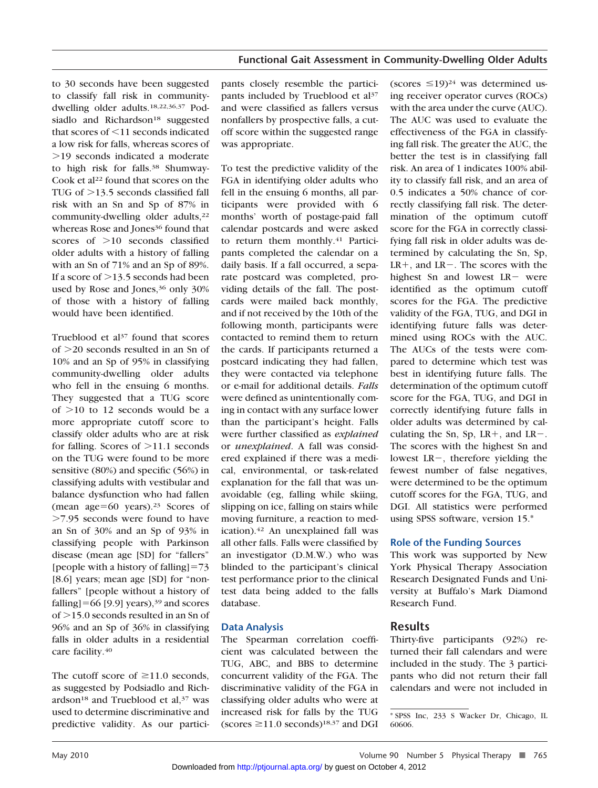to 30 seconds have been suggested to classify fall risk in communitydwelling older adults.18,22,36,37 Podsiadlo and Richardson<sup>18</sup> suggested that scores of  $\leq$ 11 seconds indicated a low risk for falls, whereas scores of 19 seconds indicated a moderate to high risk for falls.38 Shumway-Cook et al<sup>22</sup> found that scores on the TUG of  $>13.5$  seconds classified fall risk with an Sn and Sp of 87% in community-dwelling older adults,<sup>22</sup> whereas Rose and Jones<sup>36</sup> found that scores of  $>10$  seconds classified older adults with a history of falling with an Sn of 71% and an Sp of 89%. If a score of  $>$  13.5 seconds had been used by Rose and Jones,<sup>36</sup> only 30% of those with a history of falling would have been identified.

Trueblood et al37 found that scores of 20 seconds resulted in an Sn of 10% and an Sp of 95% in classifying community-dwelling older adults who fell in the ensuing 6 months. They suggested that a TUG score of  $>10$  to 12 seconds would be a more appropriate cutoff score to classify older adults who are at risk for falling. Scores of  $>11.1$  seconds on the TUG were found to be more sensitive (80%) and specific (56%) in classifying adults with vestibular and balance dysfunction who had fallen (mean age=60 years).<sup>23</sup> Scores of 7.95 seconds were found to have an Sn of 30% and an Sp of 93% in classifying people with Parkinson disease (mean age [SD] for "fallers" [people with a history of falling] $=73$ [8.6] years; mean age [SD] for "nonfallers" [people without a history of falling] = 66 [9.9] years),<sup>39</sup> and scores of 15.0 seconds resulted in an Sn of 96% and an Sp of 36% in classifying falls in older adults in a residential care facility.<sup>40</sup>

The cutoff score of  $\geq 11.0$  seconds, as suggested by Podsiadlo and Richardson18 and Trueblood et al,37 was used to determine discriminative and predictive validity. As our participants closely resemble the participants included by Trueblood et al<sup>37</sup> and were classified as fallers versus nonfallers by prospective falls, a cutoff score within the suggested range was appropriate.

To test the predictive validity of the FGA in identifying older adults who fell in the ensuing 6 months, all participants were provided with 6 months' worth of postage-paid fall calendar postcards and were asked to return them monthly.<sup>41</sup> Participants completed the calendar on a daily basis. If a fall occurred, a separate postcard was completed, providing details of the fall. The postcards were mailed back monthly, and if not received by the 10th of the following month, participants were contacted to remind them to return the cards. If participants returned a postcard indicating they had fallen, they were contacted via telephone or e-mail for additional details. *Falls* were defined as unintentionally coming in contact with any surface lower than the participant's height. Falls were further classified as *explained* or *unexplained*. A fall was considered explained if there was a medical, environmental, or task-related explanation for the fall that was unavoidable (eg, falling while skiing, slipping on ice, falling on stairs while moving furniture, a reaction to medication).<sup>42</sup> An unexplained fall was all other falls. Falls were classified by an investigator (D.M.W.) who was blinded to the participant's clinical test performance prior to the clinical test data being added to the falls database.

#### **Data Analysis**

The Spearman correlation coefficient was calculated between the TUG, ABC, and BBS to determine concurrent validity of the FGA. The discriminative validity of the FGA in classifying older adults who were at increased risk for falls by the TUG  $(\text{scores} \ge 11.0 \text{ seconds})^{18,37}$  and DGI

(scores  $\leq 19$ )<sup>24</sup> was determined using receiver operator curves (ROCs) with the area under the curve (AUC). The AUC was used to evaluate the effectiveness of the FGA in classifying fall risk. The greater the AUC, the better the test is in classifying fall risk. An area of 1 indicates 100% ability to classify fall risk, and an area of 0.5 indicates a 50% chance of correctly classifying fall risk. The determination of the optimum cutoff score for the FGA in correctly classifying fall risk in older adults was determined by calculating the Sn, Sp,  $LR+$ , and  $LR-$ . The scores with the highest Sn and lowest LR- were identified as the optimum cutoff scores for the FGA. The predictive validity of the FGA, TUG, and DGI in identifying future falls was determined using ROCs with the AUC. The AUCs of the tests were compared to determine which test was best in identifying future falls. The determination of the optimum cutoff score for the FGA, TUG, and DGI in correctly identifying future falls in older adults was determined by calculating the Sn, Sp,  $LR+$ , and  $LR-$ . The scores with the highest Sn and lowest LR-, therefore yielding the fewest number of false negatives, were determined to be the optimum cutoff scores for the FGA, TUG, and DGI. All statistics were performed using SPSS software, version 15.\*

#### **Role of the Funding Sources**

This work was supported by New York Physical Therapy Association Research Designated Funds and University at Buffalo's Mark Diamond Research Fund.

#### **Results**

Thirty-five participants (92%) returned their fall calendars and were included in the study. The 3 participants who did not return their fall calendars and were not included in

\* SPSS Inc, 233 S Wacker Dr, Chicago, IL 60606.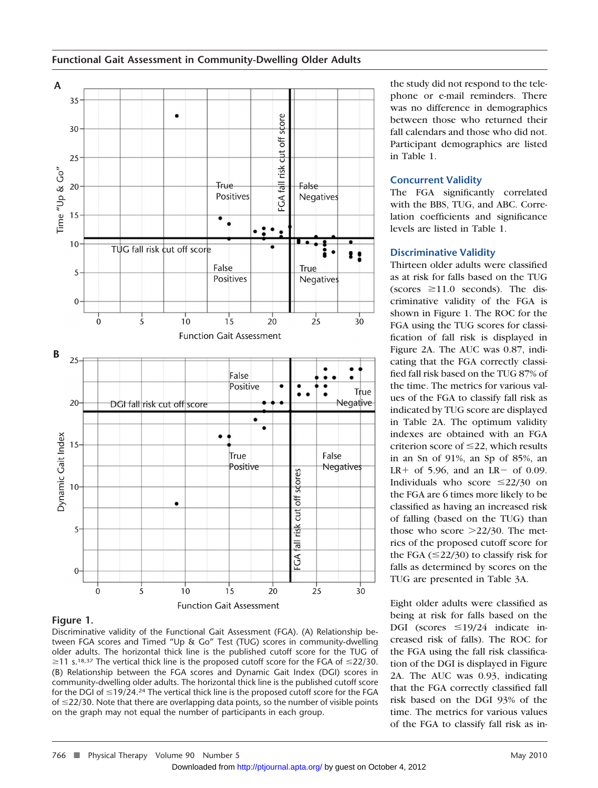

#### **Figure 1.**

Discriminative validity of the Functional Gait Assessment (FGA). (A) Relationship between FGA scores and Timed "Up & Go" Test (TUG) scores in community-dwelling older adults. The horizontal thick line is the published cutoff score for the TUG of  $\geq$ 11 s.<sup>18,37</sup> The vertical thick line is the proposed cutoff score for the FGA of  $\leq$ 22/30. (B) Relationship between the FGA scores and Dynamic Gait Index (DGI) scores in community-dwelling older adults. The horizontal thick line is the published cutoff score for the DGI of  $\leq$ 19/24.<sup>24</sup> The vertical thick line is the proposed cutoff score for the FGA of  $\leq$ 22/30. Note that there are overlapping data points, so the number of visible points on the graph may not equal the number of participants in each group.

the study did not respond to the telephone or e-mail reminders. There was no difference in demographics between those who returned their fall calendars and those who did not. Participant demographics are listed in Table 1.

#### **Concurrent Validity**

The FGA significantly correlated with the BBS, TUG, and ABC. Correlation coefficients and significance levels are listed in Table 1.

#### **Discriminative Validity**

Thirteen older adults were classified as at risk for falls based on the TUG  $(scores \geq 11.0$  seconds). The discriminative validity of the FGA is shown in Figure 1. The ROC for the FGA using the TUG scores for classification of fall risk is displayed in Figure 2A. The AUC was 0.87, indicating that the FGA correctly classified fall risk based on the TUG 87% of the time. The metrics for various values of the FGA to classify fall risk as indicated by TUG score are displayed in Table 2A. The optimum validity indexes are obtained with an FGA criterion score of  $\leq$ 22, which results in an Sn of 91%, an Sp of 85%, an  $LR + of 5.96$ , and an  $LR - of 0.09$ . Individuals who score  $\leq$ 22/30 on the FGA are 6 times more likely to be classified as having an increased risk of falling (based on the TUG) than those who score  $>22/30$ . The metrics of the proposed cutoff score for the FGA  $(\leq 22/30)$  to classify risk for falls as determined by scores on the TUG are presented in Table 3A.

Eight older adults were classified as being at risk for falls based on the DGI (scores  $\leq 19/24$  indicate increased risk of falls). The ROC for the FGA using the fall risk classification of the DGI is displayed in Figure 2A. The AUC was 0.93, indicating that the FGA correctly classified fall risk based on the DGI 93% of the time. The metrics for various values of the FGA to classify fall risk as in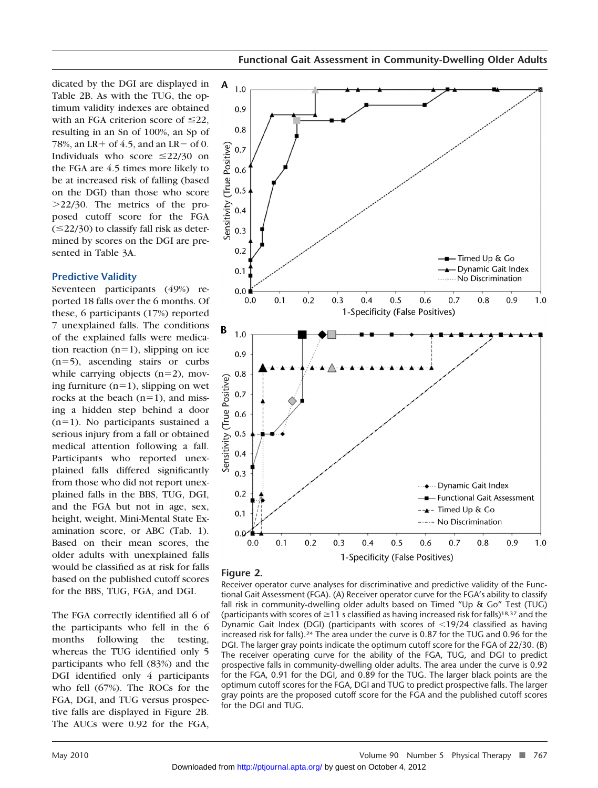dicated by the DGI are displayed in Table 2B. As with the TUG, the optimum validity indexes are obtained with an FGA criterion score of  $\leq 22$ , resulting in an Sn of 100%, an Sp of 78%, an LR+ of 4.5, and an LR- of 0. Individuals who score  $\leq$ 22/30 on the FGA are 4.5 times more likely to be at increased risk of falling (based on the DGI) than those who score  $>22/30$ . The metrics of the proposed cutoff score for the FGA  $(\leq$ 22/30) to classify fall risk as determined by scores on the DGI are presented in Table 3A.

#### **Predictive Validity**

Seventeen participants (49%) reported 18 falls over the 6 months. Of these, 6 participants (17%) reported 7 unexplained falls. The conditions of the explained falls were medication reaction  $(n=1)$ , slipping on ice  $(n=5)$ , ascending stairs or curbs while carrying objects  $(n=2)$ , moving furniture  $(n=1)$ , slipping on wet rocks at the beach  $(n=1)$ , and missing a hidden step behind a door  $(n=1)$ . No participants sustained a serious injury from a fall or obtained medical attention following a fall. Participants who reported unexplained falls differed significantly from those who did not report unexplained falls in the BBS, TUG, DGI, and the FGA but not in age, sex, height, weight, Mini-Mental State Examination score, or ABC (Tab. 1). Based on their mean scores, the older adults with unexplained falls would be classified as at risk for falls based on the published cutoff scores for the BBS, TUG, FGA, and DGI.

The FGA correctly identified all 6 of the participants who fell in the 6 months following the testing, whereas the TUG identified only 5 participants who fell (83%) and the DGI identified only 4 participants who fell (67%). The ROCs for the FGA, DGI, and TUG versus prospective falls are displayed in Figure 2B. The AUCs were 0.92 for the FGA,



#### **Figure 2.**

Receiver operator curve analyses for discriminative and predictive validity of the Functional Gait Assessment (FGA). (A) Receiver operator curve for the FGA's ability to classify fall risk in community-dwelling older adults based on Timed "Up & Go" Test (TUG) (participants with scores of  $\geq$ 11 s classified as having increased risk for falls)<sup>18,37</sup> and the Dynamic Gait Index (DGI) (participants with scores of  $\langle 19/24$  classified as having increased risk for falls).24 The area under the curve is 0.87 for the TUG and 0.96 for the DGI. The larger gray points indicate the optimum cutoff score for the FGA of 22/30. (B) The receiver operating curve for the ability of the FGA, TUG, and DGI to predict prospective falls in community-dwelling older adults. The area under the curve is 0.92 for the FGA, 0.91 for the DGI, and 0.89 for the TUG. The larger black points are the optimum cutoff scores for the FGA, DGI and TUG to predict prospective falls. The larger gray points are the proposed cutoff score for the FGA and the published cutoff scores for the DGI and TUG.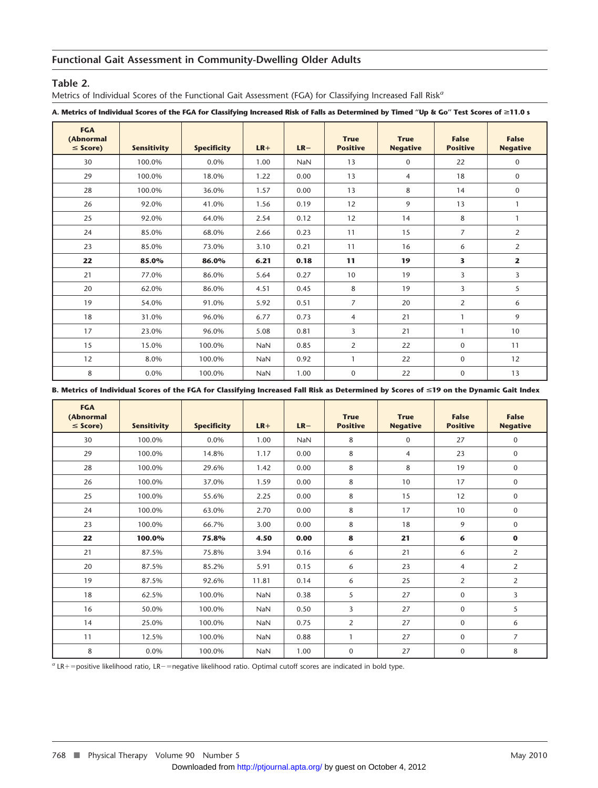#### **Table 2.**

Metrics of Individual Scores of the Functional Gait Assessment (FGA) for Classifying Increased Fall Risk*<sup>a</sup>*

**A. Metrics of Individual Scores of the FGA for Classifying Increased Risk of Falls as Determined by Timed "Up & Go" Test Scores of** >**11.0 s**

| <b>FGA</b><br>(Abnormal<br>$\leq$ Score) | <b>Sensitivity</b> | <b>Specificity</b> | $LR+$      | $LR-$      | <b>True</b><br><b>Positive</b> | <b>True</b><br><b>Negative</b> | <b>False</b><br><b>Positive</b> | <b>False</b><br><b>Negative</b> |
|------------------------------------------|--------------------|--------------------|------------|------------|--------------------------------|--------------------------------|---------------------------------|---------------------------------|
| 30                                       | 100.0%             | 0.0%               | 1.00       | <b>NaN</b> | 13                             | $\mathbf 0$                    | 22                              | $\mathbf 0$                     |
| 29                                       | 100.0%             | 18.0%              | 1.22       | 0.00       | 13                             | 4                              | 18                              | $\mathbf 0$                     |
| 28                                       | 100.0%             | 36.0%              | 1.57       | 0.00       | 13                             | 8                              | 14                              | $\mathbf 0$                     |
| 26                                       | 92.0%              | 41.0%              | 1.56       | 0.19       | 12                             | 9                              | 13                              | $\mathbf{1}$                    |
| 25                                       | 92.0%              | 64.0%              | 2.54       | 0.12       | 12                             | 14                             | 8                               | 1                               |
| 24                                       | 85.0%              | 68.0%              | 2.66       | 0.23       | 11                             | 15                             | $\overline{7}$                  | $\overline{2}$                  |
| 23                                       | 85.0%              | 73.0%              | 3.10       | 0.21       | 11                             | 16                             | 6                               | $\overline{2}$                  |
| 22                                       | 85.0%              | 86.0%              | 6.21       | 0.18       | 11                             | 19                             | 3                               | $\mathbf{z}$                    |
| 21                                       | 77.0%              | 86.0%              | 5.64       | 0.27       | 10                             | 19                             | 3                               | 3                               |
| 20                                       | 62.0%              | 86.0%              | 4.51       | 0.45       | 8                              | 19                             | 3                               | 5                               |
| 19                                       | 54.0%              | 91.0%              | 5.92       | 0.51       | $\overline{7}$                 | 20                             | $\overline{2}$                  | 6                               |
| 18                                       | 31.0%              | 96.0%              | 6.77       | 0.73       | 4                              | 21                             | 1                               | 9                               |
| 17                                       | 23.0%              | 96.0%              | 5.08       | 0.81       | 3                              | 21                             | 1                               | 10                              |
| 15                                       | 15.0%              | 100.0%             | <b>NaN</b> | 0.85       | $\overline{2}$                 | 22                             | 0                               | 11                              |
| 12                                       | 8.0%               | 100.0%             | <b>NaN</b> | 0.92       | 1                              | 22                             | $\Omega$                        | 12                              |
| 8                                        | 0.0%               | 100.0%             | <b>NaN</b> | 1.00       | $\Omega$                       | 22                             | $\Omega$                        | 13                              |

**B. Metrics of Individual Scores of the FGA for Classifying Increased Fall Risk as Determined by Scores of** <**19 on the Dynamic Gait Index**

| <b>FGA</b><br>(Abnormal<br>$\leq$ Score) | <b>Sensitivity</b> | <b>Specificity</b> | $LR+$      | $LR-$      | <b>True</b><br><b>Positive</b> | <b>True</b><br><b>Negative</b> | <b>False</b><br><b>Positive</b> | <b>False</b><br><b>Negative</b> |
|------------------------------------------|--------------------|--------------------|------------|------------|--------------------------------|--------------------------------|---------------------------------|---------------------------------|
| 30                                       | 100.0%             | 0.0%               | 1.00       | <b>NaN</b> | 8                              | $\Omega$                       | 27                              | $\mathbf 0$                     |
| 29                                       | 100.0%             | 14.8%              | 1.17       | 0.00       | 8                              | 4                              | 23                              | $\mathbf 0$                     |
| 28                                       | 100.0%             | 29.6%              | 1.42       | 0.00       | 8                              | 8                              | 19                              | $\mathbf 0$                     |
| 26                                       | 100.0%             | 37.0%              | 1.59       | 0.00       | 8                              | 10                             | 17                              | $\mathbf 0$                     |
| 25                                       | 100.0%             | 55.6%              | 2.25       | 0.00       | 8                              | 15                             | 12                              | $\mathbf 0$                     |
| 24                                       | 100.0%             | 63.0%              | 2.70       | 0.00       | 8                              | 17                             | 10                              | $\mathbf 0$                     |
| 23                                       | 100.0%             | 66.7%              | 3.00       | 0.00       | 8                              | 18                             | 9                               | $\mathbf 0$                     |
| 22                                       | 100.0%             | 75.8%              | 4.50       | 0.00       | 8                              | 21                             | 6                               | $\mathbf 0$                     |
| 21                                       | 87.5%              | 75.8%              | 3.94       | 0.16       | 6                              | 21                             | 6                               | $\overline{2}$                  |
| 20                                       | 87.5%              | 85.2%              | 5.91       | 0.15       | 6                              | 23                             | 4                               | $\overline{2}$                  |
| 19                                       | 87.5%              | 92.6%              | 11.81      | 0.14       | 6                              | 25                             | $\overline{2}$                  | $\overline{2}$                  |
| 18                                       | 62.5%              | 100.0%             | <b>NaN</b> | 0.38       | 5                              | 27                             | 0                               | 3                               |
| 16                                       | 50.0%              | 100.0%             | <b>NaN</b> | 0.50       | 3                              | 27                             | $\Omega$                        | 5                               |
| 14                                       | 25.0%              | 100.0%             | <b>NaN</b> | 0.75       | $\overline{2}$                 | 27                             | $\Omega$                        | 6                               |
| 11                                       | 12.5%              | 100.0%             | <b>NaN</b> | 0.88       | 1                              | 27                             | $\Omega$                        | $\overline{7}$                  |
| 8                                        | 0.0%               | 100.0%             | <b>NaN</b> | 1.00       | $\mathbf 0$                    | 27                             | 0                               | 8                               |

a LR+=positive likelihood ratio, LR-=negative likelihood ratio. Optimal cutoff scores are indicated in bold type.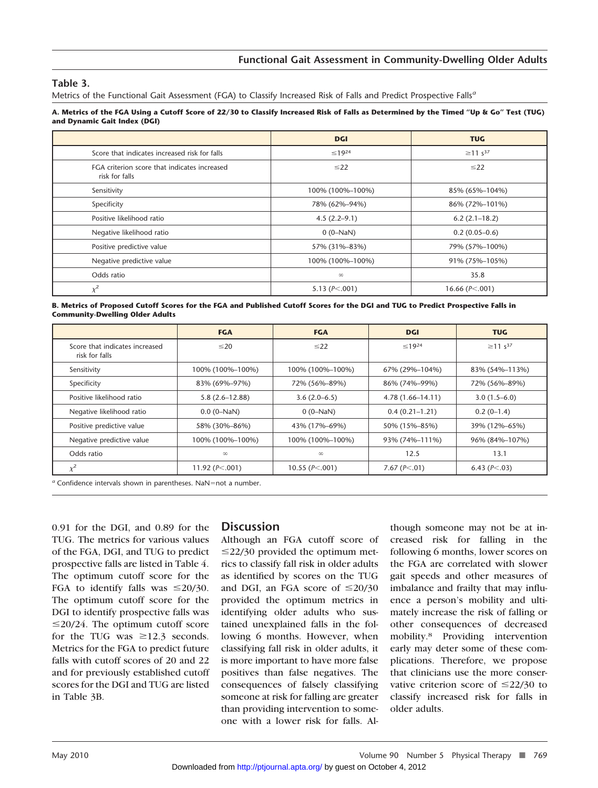#### **Table 3.**

Metrics of the Functional Gait Assessment (FGA) to Classify Increased Risk of Falls and Predict Prospective Falls*<sup>a</sup>*

#### **A. Metrics of the FGA Using a Cutoff Score of 22/30 to Classify Increased Risk of Falls as Determined by the Timed "Up & Go" Test (TUG) and Dynamic Gait Index (DGI)**

|                                                                | <b>DGI</b>          | <b>TUG</b>                |
|----------------------------------------------------------------|---------------------|---------------------------|
| Score that indicates increased risk for falls                  | $\leq 19^{24}$      | $\geq$ 11 s <sup>37</sup> |
| FGA criterion score that indicates increased<br>risk for falls | $\leq$ 22           | $\leq$ 22                 |
| Sensitivity                                                    | 100% (100%-100%)    | 85% (65%-104%)            |
| Specificity                                                    | 78% (62%-94%)       | 86% (72%-101%)            |
| Positive likelihood ratio                                      | $4.5(2.2-9.1)$      | $6.2(2.1-18.2)$           |
| Negative likelihood ratio                                      | $0(0-NaN)$          | $0.2(0.05-0.6)$           |
| Positive predictive value                                      | 57% (31%-83%)       | 79% (57%-100%)            |
| Negative predictive value                                      | 100% (100%-100%)    | 91% (75%-105%)            |
| Odds ratio                                                     | $\infty$            | 35.8                      |
| $\chi^2$                                                       | 5.13 ( $P < .001$ ) | 16.66 ( $P<.001$ )        |

**B. Metrics of Proposed Cutoff Scores for the FGA and Published Cutoff Scores for the DGI and TUG to Predict Prospective Falls in Community-Dwelling Older Adults**

|                                                  | <b>FGA</b>         | <b>FGA</b>         | <b>DGI</b>           | <b>TUG</b>          |
|--------------------------------------------------|--------------------|--------------------|----------------------|---------------------|
| Score that indicates increased<br>risk for falls | $\leq$ 20          | $\leq$ 22          | $\leq 1924$          | ≥11 s <sup>37</sup> |
| Sensitivity                                      | 100% (100%-100%)   | 100% (100%-100%)   | 67% (29%-104%)       | 83% (54%-113%)      |
| Specificity                                      | 83% (69%-97%)      | 72% (56%-89%)      | 86% (74%-99%)        | 72% (56%-89%)       |
| Positive likelihood ratio                        | $5.8(2.6 - 12.88)$ | $3.6(2.0-6.5)$     | $4.78(1.66 - 14.11)$ | $3.0(1.5-6.0)$      |
| Negative likelihood ratio                        | $0.0$ (0–NaN)      | $0(0-NaN)$         | $0.4(0.21-1.21)$     | $0.2(0-1.4)$        |
| Positive predictive value                        | 58% (30%-86%)      | 43% (17%-69%)      | 50% (15%-85%)        | 39% (12%-65%)       |
| Negative predictive value                        | 100% (100%-100%)   | 100% (100%-100%)   | 93% (74%-111%)       | 96% (84%-107%)      |
| Odds ratio                                       | $\infty$           | $\infty$           | 12.5                 | 13.1                |
|                                                  | 11.92 ( $P<.001$ ) | 10.55 ( $P<.001$ ) | 7.67 ( $P < 01$ )    | 6.43 ( $P < 0.03$ ) |

*a* Confidence intervals shown in parentheses. NaN=not a number.

0.91 for the DGI, and 0.89 for the TUG. The metrics for various values of the FGA, DGI, and TUG to predict prospective falls are listed in Table 4. The optimum cutoff score for the FGA to identify falls was  $\leq 20/30$ . The optimum cutoff score for the DGI to identify prospective falls was  $\leq$ 20/24. The optimum cutoff score for the TUG was  $\geq 12.3$  seconds. Metrics for the FGA to predict future falls with cutoff scores of 20 and 22 and for previously established cutoff scores for the DGI and TUG are listed in Table 3B.

#### **Discussion**

Although an FGA cutoff score of  $\leq$ 22/30 provided the optimum metrics to classify fall risk in older adults as identified by scores on the TUG and DGI, an FGA score of  $\leq 20/30$ provided the optimum metrics in identifying older adults who sustained unexplained falls in the following 6 months. However, when classifying fall risk in older adults, it is more important to have more false positives than false negatives. The consequences of falsely classifying someone at risk for falling are greater than providing intervention to someone with a lower risk for falls. Al-

though someone may not be at increased risk for falling in the following 6 months, lower scores on the FGA are correlated with slower gait speeds and other measures of imbalance and frailty that may influence a person's mobility and ultimately increase the risk of falling or other consequences of decreased mobility.8 Providing intervention early may deter some of these complications. Therefore, we propose that clinicians use the more conservative criterion score of  $\leq$ 22/30 to classify increased risk for falls in older adults.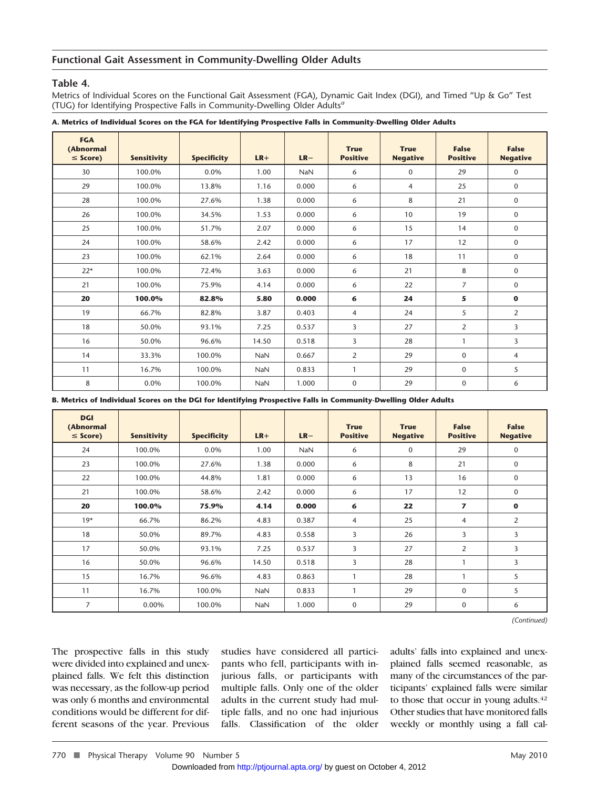#### **Table 4.**

Metrics of Individual Scores on the Functional Gait Assessment (FGA), Dynamic Gait Index (DGI), and Timed "Up & Go" Test (TUG) for Identifying Prospective Falls in Community-Dwelling Older Adults*<sup>a</sup>*

|  |  | A. Metrics of Individual Scores on the FGA for Identifying Prospective Falls in Community-Dwelling Older Adults |  |
|--|--|-----------------------------------------------------------------------------------------------------------------|--|
|  |  |                                                                                                                 |  |

| <b>FGA</b><br>(Abnormal<br>$\leq$ Score) | <b>Sensitivity</b> | <b>Specificity</b> | $LR+$      | $LR-$      | <b>True</b><br><b>Positive</b> | <b>True</b><br><b>Negative</b> | <b>False</b><br><b>Positive</b> | <b>False</b><br><b>Negative</b> |
|------------------------------------------|--------------------|--------------------|------------|------------|--------------------------------|--------------------------------|---------------------------------|---------------------------------|
| 30                                       | 100.0%             | $0.0\%$            | 1.00       | <b>NaN</b> | 6                              | $\mathbf{0}$                   | 29                              | $\mathbf 0$                     |
| 29                                       | 100.0%             | 13.8%              | 1.16       | 0.000      | 6                              | $\overline{4}$                 | 25                              | $\mathbf 0$                     |
| 28                                       | 100.0%             | 27.6%              | 1.38       | 0.000      | 6                              | 8                              | 21                              | $\mathbf 0$                     |
| 26                                       | 100.0%             | 34.5%              | 1.53       | 0.000      | 6                              | 10                             | 19                              | $\mathbf 0$                     |
| 25                                       | 100.0%             | 51.7%              | 2.07       | 0.000      | 6                              | 15                             | 14                              | $\mathbf 0$                     |
| 24                                       | 100.0%             | 58.6%              | 2.42       | 0.000      | 6                              | 17                             | 12                              | $\mathbf 0$                     |
| 23                                       | 100.0%             | 62.1%              | 2.64       | 0.000      | 6                              | 18                             | 11                              | $\mathbf 0$                     |
| $22*$                                    | 100.0%             | 72.4%              | 3.63       | 0.000      | 6                              | 21                             | 8                               | $\mathbf 0$                     |
| 21                                       | 100.0%             | 75.9%              | 4.14       | 0.000      | 6                              | 22                             | $\overline{7}$                  | $\mathbf 0$                     |
| 20                                       | 100.0%             | 82.8%              | 5.80       | 0.000      | 6                              | 24                             | 5                               | $\mathbf o$                     |
| 19                                       | 66.7%              | 82.8%              | 3.87       | 0.403      | 4                              | 24                             | 5                               | 2                               |
| 18                                       | 50.0%              | 93.1%              | 7.25       | 0.537      | 3                              | 27                             | $\overline{2}$                  | 3                               |
| 16                                       | 50.0%              | 96.6%              | 14.50      | 0.518      | 3                              | 28                             | 1                               | 3                               |
| 14                                       | 33.3%              | 100.0%             | <b>NaN</b> | 0.667      | $\overline{2}$                 | 29                             | $\Omega$                        | 4                               |
| 11                                       | 16.7%              | 100.0%             | <b>NaN</b> | 0.833      | $\mathbf{1}$                   | 29                             | $\Omega$                        | 5                               |
| 8                                        | 0.0%               | 100.0%             | <b>NaN</b> | 1.000      | $\mathbf 0$                    | 29                             | $\mathbf 0$                     | 6                               |

**B. Metrics of Individual Scores on the DGI for Identifying Prospective Falls in Community-Dwelling Older Adults**

| <b>DGI</b><br>(Abnormal<br>$\leq$ Score) | <b>Sensitivity</b> | <b>Specificity</b> | $LR+$      | $LR-$ | <b>True</b><br><b>Positive</b> | <b>True</b><br><b>Negative</b> | <b>False</b><br><b>Positive</b> | <b>False</b><br><b>Negative</b> |
|------------------------------------------|--------------------|--------------------|------------|-------|--------------------------------|--------------------------------|---------------------------------|---------------------------------|
| 24                                       | 100.0%             | $0.0\%$            | 1.00       | NaN   | 6                              | $\mathbf 0$                    | 29                              | 0                               |
| 23                                       | 100.0%             | 27.6%              | 1.38       | 0.000 | 6                              | 8                              | 21                              | $\mathbf 0$                     |
| 22                                       | 100.0%             | 44.8%              | 1.81       | 0.000 | 6                              | 13                             | 16                              | 0                               |
| 21                                       | 100.0%             | 58.6%              | 2.42       | 0.000 | 6                              | 17                             | 12                              | $\mathbf 0$                     |
| 20                                       | 100.0%             | 75.9%              | 4.14       | 0.000 | 6                              | 22                             | $\overline{\mathbf{z}}$         | $\mathbf 0$                     |
| $19*$                                    | 66.7%              | 86.2%              | 4.83       | 0.387 | $\overline{4}$                 | 25                             | 4                               | $\overline{2}$                  |
| 18                                       | 50.0%              | 89.7%              | 4.83       | 0.558 | 3                              | 26                             | 3                               | 3                               |
| 17                                       | 50.0%              | 93.1%              | 7.25       | 0.537 | 3                              | 27                             | 2                               | 3                               |
| 16                                       | 50.0%              | 96.6%              | 14.50      | 0.518 | 3                              | 28                             | 1                               | 3                               |
| 15                                       | 16.7%              | 96.6%              | 4.83       | 0.863 |                                | 28                             | 1                               | 5                               |
| 11                                       | 16.7%              | 100.0%             | <b>NaN</b> | 0.833 |                                | 29                             | $\Omega$                        | 5                               |
| 7                                        | 0.00%              | 100.0%             | <b>NaN</b> | 1.000 | $\mathbf 0$                    | 29                             | $\mathbf 0$                     | 6                               |

*(Continued)*

The prospective falls in this study were divided into explained and unexplained falls. We felt this distinction was necessary, as the follow-up period was only 6 months and environmental conditions would be different for different seasons of the year. Previous studies have considered all participants who fell, participants with injurious falls, or participants with multiple falls. Only one of the older adults in the current study had multiple falls, and no one had injurious falls. Classification of the older

adults' falls into explained and unexplained falls seemed reasonable, as many of the circumstances of the participants' explained falls were similar to those that occur in young adults.<sup>42</sup> Other studies that have monitored falls weekly or monthly using a fall cal-

Downloaded from<http://ptjournal.apta.org/>by guest on October 4, 2012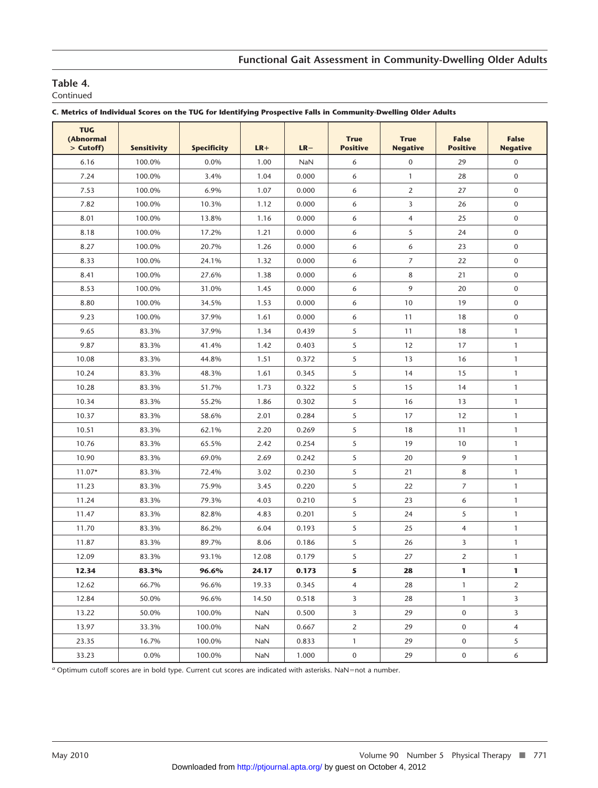#### **Table 4.**

Continued

**C. Metrics of Individual Scores on the TUG for Identifying Prospective Falls in Community-Dwelling Older Adults**

| <b>TUG</b><br>(Abnormal<br>$>$ Cutoff) | <b>Sensitivity</b> | <b>Specificity</b> | $LR+$ | $LR-$ | <b>True</b><br><b>Positive</b> | <b>True</b><br><b>Negative</b> | <b>False</b><br><b>Positive</b> | <b>False</b><br><b>Negative</b> |
|----------------------------------------|--------------------|--------------------|-------|-------|--------------------------------|--------------------------------|---------------------------------|---------------------------------|
| 6.16                                   | 100.0%             | 0.0%               | 1.00  | NaN   | 6                              | $\mathbf 0$                    | 29                              | $\mathbf 0$                     |
| 7.24                                   | 100.0%             | 3.4%               | 1.04  | 0.000 | 6                              | $\mathbf{1}$                   | 28                              | $\pmb{0}$                       |
| 7.53                                   | 100.0%             | 6.9%               | 1.07  | 0.000 | 6                              | $\overline{2}$                 | 27                              | $\mathbf 0$                     |
| 7.82                                   | 100.0%             | 10.3%              | 1.12  | 0.000 | 6                              | 3                              | 26                              | $\mathbf 0$                     |
| 8.01                                   | 100.0%             | 13.8%              | 1.16  | 0.000 | 6                              | $\overline{4}$                 | 25                              | 0                               |
| 8.18                                   | 100.0%             | 17.2%              | 1.21  | 0.000 | 6                              | 5                              | 24                              | $\mathbf 0$                     |
| 8.27                                   | 100.0%             | 20.7%              | 1.26  | 0.000 | 6                              | 6                              | 23                              | $\mathbf 0$                     |
| 8.33                                   | 100.0%             | 24.1%              | 1.32  | 0.000 | 6                              | $\overline{7}$                 | 22                              | $\pmb{0}$                       |
| 8.41                                   | 100.0%             | 27.6%              | 1.38  | 0.000 | 6                              | 8                              | 21                              | $\pmb{0}$                       |
| 8.53                                   | 100.0%             | 31.0%              | 1.45  | 0.000 | 6                              | 9                              | 20                              | $\mathbf 0$                     |
| 8.80                                   | 100.0%             | 34.5%              | 1.53  | 0.000 | 6                              | 10                             | 19                              | 0                               |
| 9.23                                   | 100.0%             | 37.9%              | 1.61  | 0.000 | 6                              | 11                             | 18                              | $\mathbf 0$                     |
| 9.65                                   | 83.3%              | 37.9%              | 1.34  | 0.439 | 5                              | 11                             | 18                              | $\mathbf{1}$                    |
| 9.87                                   | 83.3%              | 41.4%              | 1.42  | 0.403 | 5                              | 12                             | 17                              | $\mathbf{1}$                    |
| 10.08                                  | 83.3%              | 44.8%              | 1.51  | 0.372 | 5                              | 13                             | 16                              | $\mathbf{1}$                    |
| 10.24                                  | 83.3%              | 48.3%              | 1.61  | 0.345 | 5                              | 14                             | 15                              | $\mathbf{1}$                    |
| 10.28                                  | 83.3%              | 51.7%              | 1.73  | 0.322 | 5                              | 15                             | 14                              | $\mathbf{1}$                    |
| 10.34                                  | 83.3%              | 55.2%              | 1.86  | 0.302 | 5                              | 16                             | 13                              | $\mathbf{1}$                    |
| 10.37                                  | 83.3%              | 58.6%              | 2.01  | 0.284 | 5                              | 17                             | 12                              | $\mathbf{1}$                    |
| 10.51                                  | 83.3%              | 62.1%              | 2.20  | 0.269 | 5                              | 18                             | 11                              | $\mathbf{1}$                    |
| 10.76                                  | 83.3%              | 65.5%              | 2.42  | 0.254 | 5                              | 19                             | 10                              | $\mathbf{1}$                    |
| 10.90                                  | 83.3%              | 69.0%              | 2.69  | 0.242 | 5                              | 20                             | 9                               | $\mathbf{1}$                    |
| $11.07*$                               | 83.3%              | 72.4%              | 3.02  | 0.230 | 5                              | 21                             | 8                               | $\mathbf{1}$                    |
| 11.23                                  | 83.3%              | 75.9%              | 3.45  | 0.220 | 5                              | 22                             | $\overline{7}$                  | $\mathbf{1}$                    |
| 11.24                                  | 83.3%              | 79.3%              | 4.03  | 0.210 | 5                              | 23                             | 6                               | $\mathbf{1}$                    |
| 11.47                                  | 83.3%              | 82.8%              | 4.83  | 0.201 | 5                              | 24                             | 5                               | $\mathbf{1}$                    |
| 11.70                                  | 83.3%              | 86.2%              | 6.04  | 0.193 | 5                              | 25                             | $\overline{4}$                  | $\mathbf{1}$                    |
| 11.87                                  | 83.3%              | 89.7%              | 8.06  | 0.186 | 5                              | 26                             | 3                               | $\mathbf{1}$                    |
| 12.09                                  | 83.3%              | 93.1%              | 12.08 | 0.179 | 5                              | 27                             | $\overline{2}$                  | $\mathbf{1}$                    |
| 12.34                                  | 83.3%              | 96.6%              | 24.17 | 0.173 | 5                              | 28                             | 1                               | 1                               |
| 12.62                                  | 66.7%              | 96.6%              | 19.33 | 0.345 | $\overline{4}$                 | 28                             | $\mathbf{1}$                    | $\overline{2}$                  |
| 12.84                                  | 50.0%              | 96.6%              | 14.50 | 0.518 | 3                              | 28                             | $\mathbf{1}$                    | 3                               |
| 13.22                                  | 50.0%              | 100.0%             | NaN   | 0.500 | 3                              | 29                             | $\boldsymbol{0}$                | 3                               |
| 13.97                                  | 33.3%              | 100.0%             | NaN   | 0.667 | $\overline{2}$                 | 29                             | $\mathbf 0$                     | $\overline{4}$                  |
| 23.35                                  | 16.7%              | 100.0%             | NaN   | 0.833 | $\mathbf{1}$                   | 29                             | $\boldsymbol{0}$                | 5                               |
| 33.23                                  | 0.0%               | 100.0%             | NaN   | 1.000 | $\mathbf 0$                    | 29                             | $\mathbf 0$                     | 6                               |

*a* Optimum cutoff scores are in bold type. Current cut scores are indicated with asterisks. NaN=not a number.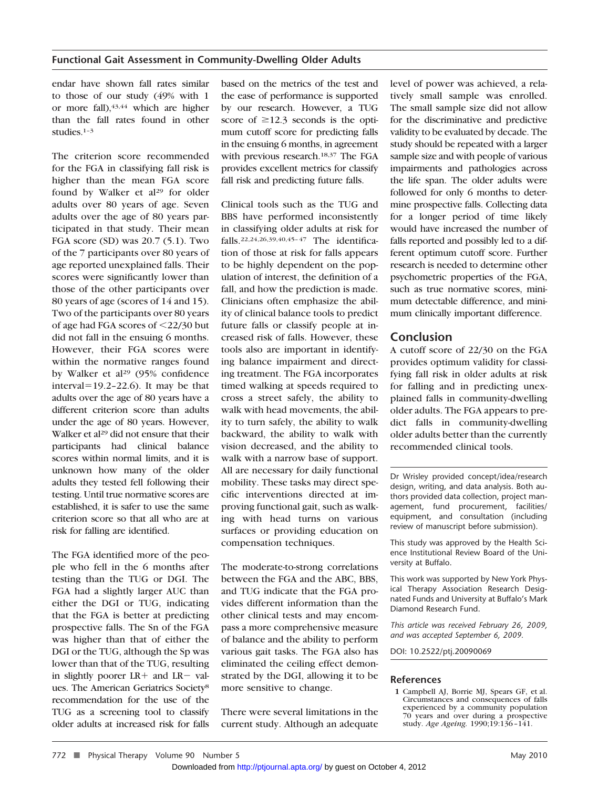endar have shown fall rates similar to those of our study (49% with 1 or more fall),  $43,44$  which are higher than the fall rates found in other studies.1–3

The criterion score recommended for the FGA in classifying fall risk is higher than the mean FGA score found by Walker et al<sup>29</sup> for older adults over 80 years of age. Seven adults over the age of 80 years participated in that study. Their mean FGA score (SD) was 20.7 (5.1). Two of the 7 participants over 80 years of age reported unexplained falls. Their scores were significantly lower than those of the other participants over 80 years of age (scores of 14 and 15). Two of the participants over 80 years of age had FGA scores of  $\leq$ 22/30 but did not fall in the ensuing 6 months. However, their FGA scores were within the normative ranges found by Walker et al<sup>29</sup> (95% confidence interval= $19.2-22.6$ ). It may be that adults over the age of 80 years have a different criterion score than adults under the age of 80 years. However, Walker et al<sup>29</sup> did not ensure that their participants had clinical balance scores within normal limits, and it is unknown how many of the older adults they tested fell following their testing. Until true normative scores are established, it is safer to use the same criterion score so that all who are at risk for falling are identified.

The FGA identified more of the people who fell in the 6 months after testing than the TUG or DGI. The FGA had a slightly larger AUC than either the DGI or TUG, indicating that the FGA is better at predicting prospective falls. The Sn of the FGA was higher than that of either the DGI or the TUG, although the Sp was lower than that of the TUG, resulting in slightly poorer  $LR +$  and  $LR -$  values. The American Geriatrics Society8 recommendation for the use of the TUG as a screening tool to classify older adults at increased risk for falls based on the metrics of the test and the ease of performance is supported by our research. However, a TUG score of  $\geq$ 12.3 seconds is the optimum cutoff score for predicting falls in the ensuing 6 months, in agreement with previous research.<sup>18,37</sup> The FGA provides excellent metrics for classify fall risk and predicting future falls.

Clinical tools such as the TUG and BBS have performed inconsistently in classifying older adults at risk for falls.22,24,26,39,40,45– 47 The identification of those at risk for falls appears to be highly dependent on the population of interest, the definition of a fall, and how the prediction is made. Clinicians often emphasize the ability of clinical balance tools to predict future falls or classify people at increased risk of falls. However, these tools also are important in identifying balance impairment and directing treatment. The FGA incorporates timed walking at speeds required to cross a street safely, the ability to walk with head movements, the ability to turn safely, the ability to walk backward, the ability to walk with vision decreased, and the ability to walk with a narrow base of support. All are necessary for daily functional mobility. These tasks may direct specific interventions directed at improving functional gait, such as walking with head turns on various surfaces or providing education on compensation techniques.

The moderate-to-strong correlations between the FGA and the ABC, BBS, and TUG indicate that the FGA provides different information than the other clinical tests and may encompass a more comprehensive measure of balance and the ability to perform various gait tasks. The FGA also has eliminated the ceiling effect demonstrated by the DGI, allowing it to be more sensitive to change.

There were several limitations in the current study. Although an adequate level of power was achieved, a relatively small sample was enrolled. The small sample size did not allow for the discriminative and predictive validity to be evaluated by decade. The study should be repeated with a larger sample size and with people of various impairments and pathologies across the life span. The older adults were followed for only 6 months to determine prospective falls. Collecting data for a longer period of time likely would have increased the number of falls reported and possibly led to a different optimum cutoff score. Further research is needed to determine other psychometric properties of the FGA, such as true normative scores, minimum detectable difference, and minimum clinically important difference.

#### **Conclusion**

A cutoff score of 22/30 on the FGA provides optimum validity for classifying fall risk in older adults at risk for falling and in predicting unexplained falls in community-dwelling older adults. The FGA appears to predict falls in community-dwelling older adults better than the currently recommended clinical tools.

Dr Wrisley provided concept/idea/research design, writing, and data analysis. Both authors provided data collection, project management, fund procurement, facilities/ equipment, and consultation (including review of manuscript before submission).

This study was approved by the Health Science Institutional Review Board of the University at Buffalo.

This work was supported by New York Physical Therapy Association Research Designated Funds and University at Buffalo's Mark Diamond Research Fund.

*This article was received February 26, 2009, and was accepted September 6, 2009.*

DOI: 10.2522/ptj.20090069

#### **References**

**1** Campbell AJ, Borrie MJ, Spears GF, et al. Circumstances and consequences of falls experienced by a community population 70 years and over during a prospective study. *Age Ageing.* 1990;19:136 –141.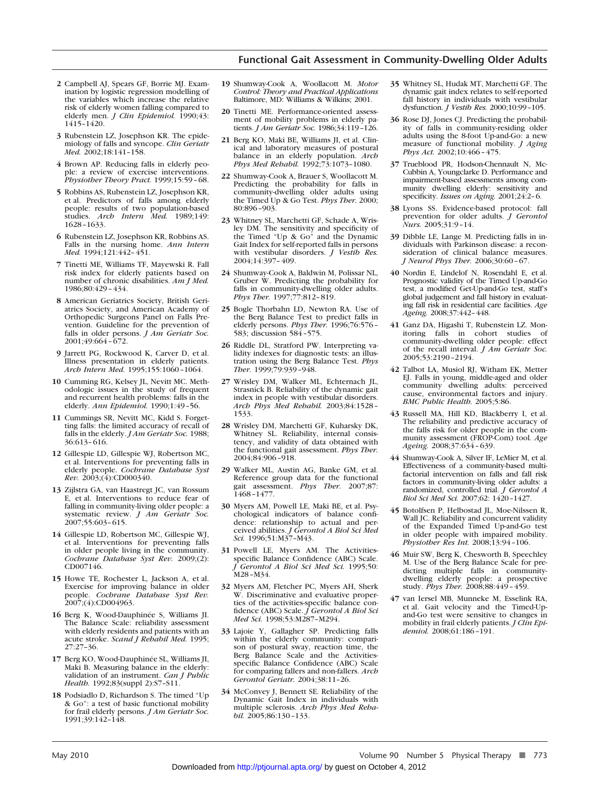- **2** Campbell AJ, Spears GF, Borrie MJ. Examination by logistic regression modelling of the variables which increase the relative risk of elderly women falling compared to elderly men. *J Clin Epidemiol.* 1990;43: 1415–1420.
- **3** Rubenstein LZ, Josephson KR. The epidemiology of falls and syncope. *Clin Geriatr Med.* 2002;18:141–158.
- **4** Brown AP. Reducing falls in elderly people: a review of exercise interventions. *Physiother Theory Pract.* 1999;15:59 – 68.
- **5** Robbins AS, Rubenstein LZ, Josephson KR, et al. Predictors of falls among elderly people: results of two population-based studies. *Arch Intern Med.* 1989;149: 1628 –1633.
- **6** Rubenstein LZ, Josephson KR, Robbins AS. Falls in the nursing home. *Ann Intern Med.* 1994;121:442– 451.
- **7** Tinetti ME, Williams TF, Mayewski R. Fall risk index for elderly patients based on number of chronic disabilities. *Am J Med.* 1986;80:429 – 434.
- **8** American Geriatrics Society, British Geriatrics Society, and American Academy of Orthopedic Surgeons Panel on Falls Prevention. Guideline for the prevention of falls in older persons. *J Am Geriatr Soc.* 2001;49:664 – 672.
- **9** Jarrett PG, Rockwood K, Carver D, et al. Illness presentation in elderly patients. *Arch Intern Med.* 1995;155:1060 –1064.
- **10** Cumming RG, Kelsey JL, Nevitt MC. Methodologic issues in the study of frequent and recurrent health problems: falls in the elderly. *Ann Epidemiol.* 1990;1:49 –56.
- **11** Cummings SR, Nevitt MC, Kidd S. Forgetting falls: the limited accuracy of recall of falls in the elderly. *J Am Geriatr Soc.* 1988; 36:613– 616.
- **12** Gillespie LD, Gillespie WJ, Robertson MC, et al. Interventions for preventing falls in elderly people. *Cochrane Database Syst Rev.* 2003;(4):CD000340.
- **13** Zijlstra GA, van Haastregt JC, van Rossum E, et al. Interventions to reduce fear of falling in community-living older people: a systematic review. *J Am Geriatr Soc.* 2007;55:603– 615.
- **14** Gillespie LD, Robertson MC, Gillespie WJ, et al. Interventions for preventing falls in older people living in the community. *Cochrane Database Syst Rev.* 2009;(2): CD007146.
- **15** Howe TE, Rochester L, Jackson A, et al. Exercise for improving balance in older people. *Cochrane Database Syst Rev.* 2007;(4):CD004963.
- 16 Berg K, Wood-Dauphinée S, Williams JI. The Balance Scale: reliability assessment with elderly residents and patients with an acute stroke. *Scand J Rehabil Med.* 1995; 27:27–36.
- 17 Berg KO, Wood-Dauphinée SL, Williams JI, Maki B. Measuring balance in the elderly: validation of an instrument. *Can J Public Health.* 1992;83(suppl 2):S7–S11.
- **18** Podsiadlo D, Richardson S. The timed "Up & Go": a test of basic functional mobility for frail elderly persons. *J Am Geriatr Soc.* 1991;39:142–148.
- **19** Shumway-Cook A, Woollacott M. *Motor Control: Theory and Practical Applications* Baltimore, MD: Williams & Wilkins; 2001.
- **20** Tinetti ME. Performance-oriented assessment of mobility problems in elderly patients. *J Am Geriatr Soc.* 1986;34:119 –126.
- **21** Berg KO, Maki BE, Williams JI, et al. Clinical and laboratory measures of postural balance in an elderly population. *Arch Phys Med Rehabil.* 1992;73:1073–1080.
- **22** Shumway-Cook A, Brauer S, Woollacott M. Predicting the probability for falls in community-dwelling older adults using the Timed Up & Go Test. *Phys Ther.* 2000; 80:896 –903.
- **23** Whitney SL, Marchetti GF, Schade A, Wrisley DM. The sensitivity and specificity of the Timed "Up & Go" and the Dynamic Gait Index for self-reported falls in persons with vestibular disorders. *J Vestib Res.* 2004;14:397– 409.
- **24** Shumway-Cook A, Baldwin M, Polissar NL, Gruber W. Predicting the probability for falls in community-dwelling older adults. Phys Ther. 1997;77:812-819.
- **25** Bogle Thorbahn LD, Newton RA. Use of the Berg Balance Test to predict falls in elderly persons. *Phys Ther.* 1996;76:576 – 583; discussion 584 –575.
- **26** Riddle DL, Stratford PW. Interpreting validity indexes for diagnostic tests: an illustration using the Berg Balance Test. *Phys Ther.* 1999;79:939 –948.
- **27** Wrisley DM, Walker ML, Echternach JL, Strasnick B. Reliability of the dynamic gait index in people with vestibular disorders. *Arch Phys Med Rehabil.* 2003;84:1528 – 1533.
- **28** Wrisley DM, Marchetti GF, Kuharsky DK, Whitney SL. Reliability, internal consistency, and validity of data obtained with the functional gait assessment. *Phys Ther.* 2004;84:906 –918.
- **29** Walker ML, Austin AG, Banke GM, et al. Reference group data for the functional gait assessment. *Phys Ther.* 2007;87: 1468 –1477.
- **30** Myers AM, Powell LE, Maki BE, et al. Psychological indicators of balance confidence: relationship to actual and perceived abilities. *J Gerontol A Biol Sci Med Sci.* 1996;51:M37–M43.
- **31** Powell LE, Myers AM. The Activitiesspecific Balance Confidence (ABC) Scale. *J Gerontol A Biol Sci Med Sci.* 1995;50: M28 –M34.
- **32** Myers AM, Fletcher PC, Myers AH, Sherk W. Discriminative and evaluative properties of the activities-specific balance confidence (ABC) Scale. *J Gerontol A Biol Sci Med Sci.* 1998;53:M287–M294.
- **33** Lajoie Y, Gallagher SP. Predicting falls within the elderly community: comparison of postural sway, reaction time, the Berg Balance Scale and the Activitiesspecific Balance Confidence (ABC) Scale for comparing fallers and non-fallers. *Arch Gerontol Geriatr.* 2004;38:11–26.
- **34** McConvey J, Bennett SE. Reliability of the Dynamic Gait Index in individuals with multiple sclerosis. *Arch Phys Med Rehabil.* 2005;86:130 –133.
- **35** Whitney SL, Hudak MT, Marchetti GF. The dynamic gait index relates to self-reported fall history in individuals with vestibular dysfunction. *J Vestib Res.* 2000;10:99 –105.
- **36** Rose DJ, Jones CJ. Predicting the probability of falls in community-residing older adults using the 8-foot Up-and-Go: a new measure of functional mobility. *J Aging Phys Act.* 2002;10:466 – 475.
- **37** Trueblood PR, Hodson-Chennault N, Mc-Cubbin A, Youngclarke D. Performance and impairment-based assessments among community dwelling elderly: sensitivity and specificity. *Issues on Aging.* 2001;24:2–6.
- **38** Lyons SS. Evidence-based protocol: fall prevention for older adults. *J Gerontol Nurs.* 2005;31:9 –14.
- **39** Dibble LE, Lange M. Predicting falls in individuals with Parkinson disease: a reconsideration of clinical balance measures. *J Neurol Phys Ther.* 2006;30:60 – 67.
- **40** Nordin E, Lindelof N, Rosendahl E, et al. Prognostic validity of the Timed Up-and-Go test, a modified Get-Up-and-Go test, staff's global judgement and fall history in evaluating fall risk in residential care facilities. *Age Ageing.* 2008;37:442–448.
- **41** Ganz DA, Higashi T, Rubenstein LZ. Monitoring falls in cohort studies of community-dwelling older people: effect of the recall interval. *J Am Geriatr Soc.* 2005;53:2190 –2194.
- **42** Talbot LA, Musiol RJ, Witham EK, Metter EJ. Falls in young, middle-aged and older community dwelling adults: perceived cause, environmental factors and injury. *BMC Public Health.* 2005;5:86.
- **43** Russell MA, Hill KD, Blackberry I, et al. The reliability and predictive accuracy of the falls risk for older people in the community assessment (FROP-Com) tool. *Age Ageing.* 2008;37:634 – 639.
- **44** Shumway-Cook A, Silver IF, LeMier M, et al. Effectiveness of a community-based multifactorial intervention on falls and fall risk factors in community-living older adults: a randomized, controlled trial. *J Gerontol A Biol Sci Med Sci.* 2007;62: 1420 –1427.
- **45** Botolfsen P, Helbostad JL, Moe-Nilssen R, Wall JC. Reliability and concurrent validity of the Expanded Timed Up-and-Go test in older people with impaired mobility. *Physiother Res Int.* 2008;13:94 –106.
- **46** Muir SW, Berg K, Chesworth B, Speechley M. Use of the Berg Balance Scale for predicting multiple falls in communitydwelling elderly people: a prospective study. *Phys Ther.* 2008;88:449 – 459.
- **47** van Iersel MB, Munneke M, Esselink RA, et al. Gait velocity and the Timed-Upand-Go test were sensitive to changes in mobility in frail elderly patients. *J Clin Epidemiol.* 2008;61:186 –191.